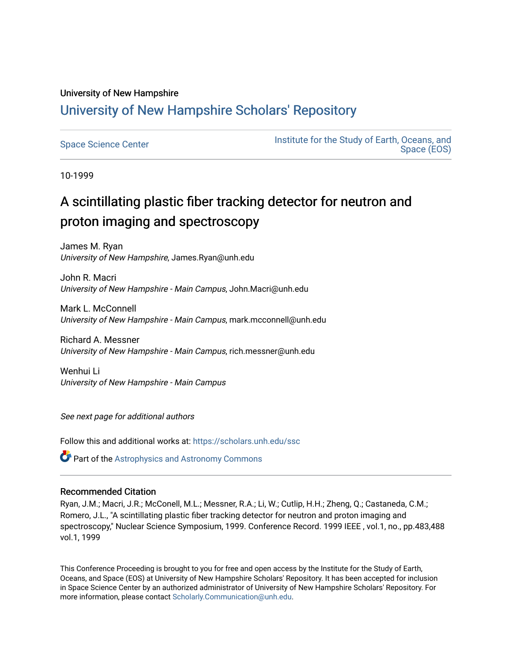## University of New Hampshire [University of New Hampshire Scholars' Repository](https://scholars.unh.edu/)

[Space Science Center](https://scholars.unh.edu/ssc) **Institute for the Study of Earth, Oceans, and** Institute for the Study of Earth, Oceans, and [Space \(EOS\)](https://scholars.unh.edu/eos) 

10-1999

# A scintillating plastic fiber tracking detector for neutron and proton imaging and spectroscopy

James M. Ryan University of New Hampshire, James.Ryan@unh.edu

John R. Macri University of New Hampshire - Main Campus, John.Macri@unh.edu

Mark L. McConnell University of New Hampshire - Main Campus, mark.mcconnell@unh.edu

Richard A. Messner University of New Hampshire - Main Campus, rich.messner@unh.edu

Wenhui Li University of New Hampshire - Main Campus

See next page for additional authors

Follow this and additional works at: [https://scholars.unh.edu/ssc](https://scholars.unh.edu/ssc?utm_source=scholars.unh.edu%2Fssc%2F208&utm_medium=PDF&utm_campaign=PDFCoverPages)

**Part of the Astrophysics and Astronomy Commons** 

#### Recommended Citation

Ryan, J.M.; Macri, J.R.; McConell, M.L.; Messner, R.A.; Li, W.; Cutlip, H.H.; Zheng, Q.; Castaneda, C.M.; Romero, J.L., "A scintillating plastic fiber tracking detector for neutron and proton imaging and spectroscopy," Nuclear Science Symposium, 1999. Conference Record. 1999 IEEE , vol.1, no., pp.483,488 vol.1, 1999

This Conference Proceeding is brought to you for free and open access by the Institute for the Study of Earth, Oceans, and Space (EOS) at University of New Hampshire Scholars' Repository. It has been accepted for inclusion in Space Science Center by an authorized administrator of University of New Hampshire Scholars' Repository. For more information, please contact [Scholarly.Communication@unh.edu.](mailto:Scholarly.Communication@unh.edu)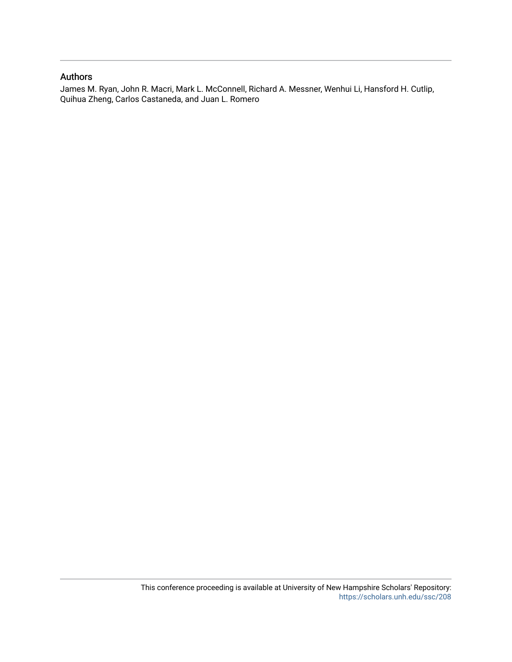### Authors

James M. Ryan, John R. Macri, Mark L. McConnell, Richard A. Messner, Wenhui Li, Hansford H. Cutlip, Quihua Zheng, Carlos Castaneda, and Juan L. Romero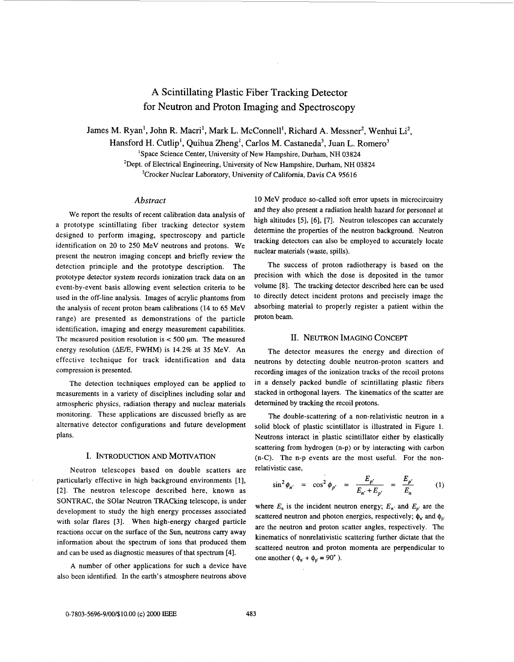### **A** Scintillating Plastic Fiber Tracking Detector for Neutron and Proton Imaging and Spectroscopy

James M. Ryan', John R. Macri', Mark L. McConnell', Richard **A.** Messner', Wenhui Liz, Hansford H. Cutlip<sup>1</sup>, Quihua Zheng<sup>1</sup>, Carlos M. Castaneda<sup>3</sup>, Juan L. Romero<sup>3</sup> <sup>1</sup>Space Science Center, University of New Hampshire, Durham, NH 03824 <sup>2</sup>Dept. of Electrical Engineering, University of New Hampshire, Durham, NH 03824

<sup>3</sup>Crocker Nuclear Laboratory, University of California, Davis CA 95616

#### *Abstract*

We report the results of recent calibration data analysis of a prototype scintillating fiber tracking detector system designed to perform imaging, spectroscopy and particle identification on 20 to 250 MeV neutrons and protons. We present the neutron imaging concept and briefly review the detection principle and the prototype description. The prototype detector system records ionization track data on an event-by-event basis allowing event selection criteria to be used in the off-line analysis. Images of acrylic phantoms from the analysis of recent proton beam calibrations (14 to *65* MeV range) are presented as demonstrations of the particle identification, imaging and energy measurement capabilities. The measured position resolution is  $<$  500  $\mu$ m. The measured energy resolution ( $\Delta E/E$ , FWHM) is 14.2% at 35 MeV. An effective technique for track identification and data compression is presented.

The detection techniques employed can be applied **to**  measurements in a variety of disciplines including solar and atmospheric physics, radiation therapy and nuclear materials monitoring. These applications are discussed briefly as are alternative detector configurations and future development plans.

#### I. INTRODUCTION AND MOTIVATION

Neutron telescopes based on double scatters are particularly effective in high background environments [1], [2]. The neutron telescope described here, known as SONTRAC, the SOlar Neutron TRACking telescope, is under development to study the high energy processes associated with solar flares [3]. When high-energy charged particle reactions occur on the surface of the Sun, neutrons carry away information about the spectrum of ions that produced them and can be used as diagnostic measures of that spectrum [4].

A number of other applications for such a device have also been identified. In the earth's atmosphere neutrons above 10 MeV produce so-called soft error upsets in microcircuitry and they also present a radiation health hazard for personnel at high altitudes **[5], [6], [7].** Neutron telescopes can accurately determine the properties of the neutron background. Neutron tracking detectors can also be employed to accurately locate nuclear materials (waste, spills).

The success **of** proton radiotherapy is based on the precision with which the dose is deposited in the tumor volume [8]. The tracking detector described here can be used to directly detect incident protons and precisely image the absorbing material to properly register a patient within the proton beam.

#### 11. NEUTRON IMAGING CONCEPT

The detector measures the energy and direction of neutrons by detecting double neutron-proton scatters and recording images of the ionization tracks of the recoil protons in a densely packed bundle of scintillating plastic fibers stacked in orthogonal layers. The kinematics of the scatter are determined by tracking the recoil protons.

The double-scattering **of** a non-relativistic neutron in a solid block of plastic scintillator is illustrated in [Figure](#page-3-0) **1.**  Neutrons interact in' plastic scintillator either by elastically scattering from hydrogen (n-p) or by interacting with carbon (n-C). The n-p events are the most useful. For the non-<br>relativistic case,<br> $\sin^2 \phi_{n'} = \cos^2 \phi_{p'} = \frac{E_{p'}}{E_{n'} + E_{p'}} = \frac{E_{p'}}{E_n}$  (1) relativistic case,

$$
\sin^2 \phi_{n'} = \cos^2 \phi_{p'} = \frac{E_{p'}}{E_{n'} + E_{p'}} = \frac{E_{p'}}{E_n}
$$
 (1)

where  $E_n$  is the incident neutron energy;  $E_n$  and  $E_p$  are the scattered neutron and photon energies, respectively;  $\phi_n$  and  $\phi_0$ are the neutron and proton scatter angles, respectively. The kinematics of nonrelativistic scattering further dictate that the scattered neutron and proton momenta are perpendicular to one another ( $\phi_{p'} + \phi_{p'} = 90^{\circ}$ ).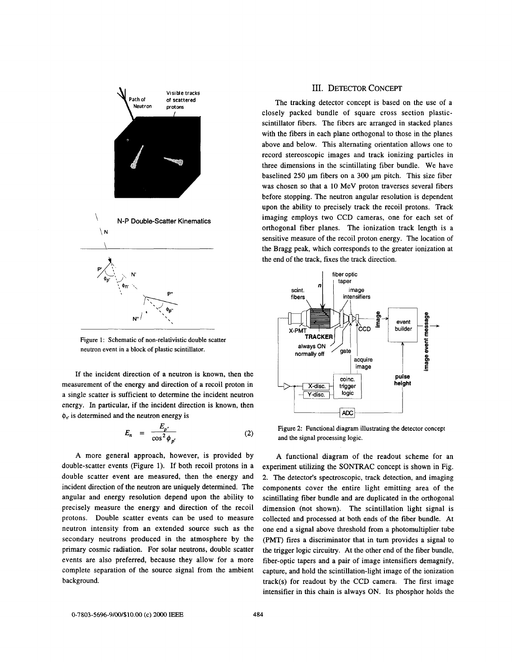<span id="page-3-0"></span>

Figure 1: Schematic of non-relativistic double scatter neutron event in a block of plastic scintillator.

**If** the incident direction of a neutron **is** known, then the measurement of the energy and direction of a recoil proton in a single scatter is sufficient to determine the incident neutron energy. In particular, if the incident direction is known, then  $\phi_{n'}$  is determined and the neutron energy is

$$
E_n = \frac{E_{p'}}{\cos^2 \phi_{p'}} \tag{2}
$$

A more general approach, however, is provided by double-scatter events (Figure 1). If both recoil protons in a double scatter event are measured, then the energy and incident direction of the neutron are uniquely determined. The angular and energy resolution depend upon the ability to precisely measure the energy and direction of the recoil protons. Double scatter events can be used to measure neutron intensity from an extended source such as the secondary neutrons produced in the atmosphere by the primary cosmic radiation. For solar neutrons, double scatter events are also preferred, because they allow for a more complete separation of the source signal from the ambient background.

#### **111.** DETECTOR CONCEPT

The tracking detector concept is based on the use of a closely packed bundle of square cross section plasticscintillator fibers. The fibers are arranged in stacked planes with the fibers in each plane orthogonal to those in the planes above and below. This alternating orientation allows one to record stereoscopic images and track ionizing particles in three dimensions in the scintillating fiber bundle. We have baselined 250 µm fibers on a 300 µm pitch. This size fiber was chosen so that a **10** MeV proton traverses several fibers before stopping. The neutron angular resolution is dependent upon the ability to precisely track the recoil protons. Track imaging employs two CCD cameras, one for each set of orthogonal fiber planes. The ionization track length is a sensitive measure of the recoil proton energy. The location of the Bragg peak, which corresponds to the greater ionization at the end of the track, fixes the track direction.



Figure **2:** Functional diagram illustrating the detector concept and the signal processing logic.

A functional diagram of the readout scheme for an experiment utilizing the SONTRAC concept is shown in Fig. 2. The detector's spectroscopic, track detection, and imaging components cover the entire light emitting area of the scintillating fiber bundle and are duplicated in the orthogonal dimension (not shown). The scintillation light signal is collected and processed at both ends of the fiber bundle. At one end a signal above threshold from a photomultiplier tube (PMT) fires a discriminator that in turn provides a signal to the trigger logic circuitry. At the other end of the fiber bundle, fiber-optic tapers and a pair of image intensifiers demagnify, capture, and hold the scintillation-light image of the ionization track(s) for readout by the CCD camera. The first image intensifier in this chain is always **ON.** Its phosphor holds the

**0-7803-5696-9/00/\$10.00** (c) ZOO0 **IEEE 484**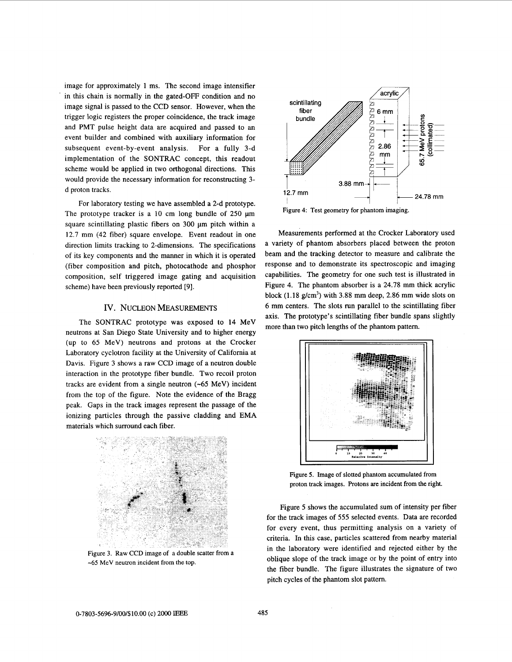image for approximately **1** ms. The second image intensifier in this chain is normally in the gated-OFF condition and no image signal is passed to the CCD sensor. However, when the trigger logic registers the proper coincidence, the track image and PMT pulse height data are acquired and passed to an event builder and combined with auxiliary information for subsequent event-by-event analysis. For a fully 3-d implementation of the SONTRAC concept, this readout scheme would be applied in two orthogonal directions. This would provide the necessary information for reconstructing **3**  d proton tracks.

For laboratory testing we have assembled a 2-d prototype. The prototype tracker is a 10 cm long bundle of 250  $\mu$ m square scintillating plastic fibers on 300 µm pitch within a 12.7 mm (42 fiber) square envelope. Event readout in one direction limits tracking to 2-dimensions. The specifications of its key components and the manner in which it is operated (fiber composition and pitch, photocathode and phosphor composition, self triggered image gating and acquisition scheme) have been previously reported *[9].* 

#### IV. NUCLEON MEASUREMENTS

The SONTRAC prototype was exposed to **14** MeV neutrons at San Diego State University and to higher energy (up to 65 MeV) neutrons and protons at the Crocker Laboratory cyclotron facility at the University of California at Davis. Figure 3 shows a raw CCD image of a neutron double interaction in the prototype fiber bundle. Two recoil proton tracks are evident from a single neutron  $(-65 \text{ MeV})$  incident from the top of the figure. Note the evidence of the Bragg peak. Gaps in the track images represent the passage of the ionizing particles through the passive cladding and EMA materials which surround each fiber.



Figure 3. Raw CCD image of a double scatter from a -65 MeV neutron incident from the top.



Figure **4:** Test geometry for phantom imaging.

Measurements performed at the Crocker Laboratory used a variety of phantom absorbers placed between the proton beam and the tracking detector to measure and calibrate the response and to demonstrate its spectroscopic and imaging capabilities. The geometry for one such test is illustrated in Figure **4.** The phantom absorber is a 24.78 mm thick acrylic block **(1.18** g/cm3) with 3.88 mm deep, 2.86 mm wide slots on 6 mm centers. The slots run parallel to the scintillating fiber axis. The prototype's scintillating fiber bundle spans slightly more than two pitch lengths of the phantom pattern. Factorized at the Crocker Laboratory used<br>of phantom absorbers placed between the proton<br>the tracking detector to measure and calibrate the<br>nd to demonstrate its spectroscopic and imaging<br>i. The geometry for one such test



Figure *5.* Image of slotted phantom accumulated from proton track images. Protons are incident from the right.

Figure 5 shows the accumulated sum of intensity per fiber **for** the track images of 555 selected events. Data are recorded for every event, thus permitting analysis on a variety of criteria. In this case, particles scattered from nearby material in the laboratory were identified and rejected either by the oblique slope of the track image or by the point of entry into the fiber bundle. The figure illustrates the signature of two pitch cycles of the phantom slot pattern.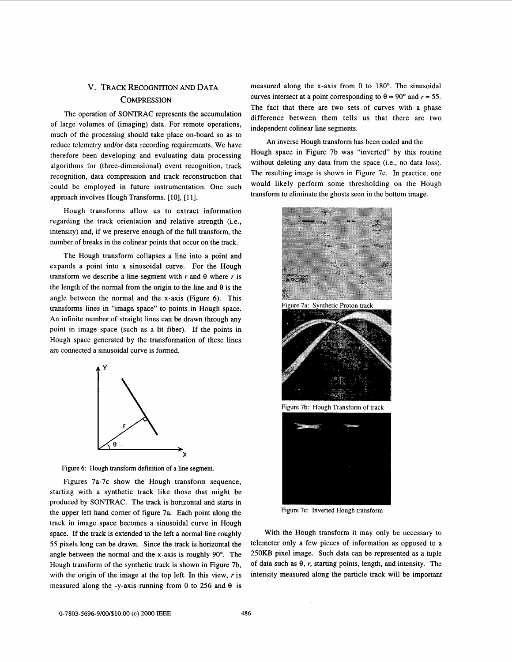### v. TRACK RECOGNITION AND DATA **COMPRESSION**

The operation of SONTRAC represents the accumulation of large volumes of (imaging) data. For remote operations, much of the processing should take place on-board so as to reduce telemetry and/or data recording requirements. We have therefore been developing and evaluating data processing algorithms for (three-dimensional) event recognition, track recognition, data compression and track reconstruction that could be employed in future instrumentation. One such approach involves Hough Transforms. **[IO],** [ll].

Hough transforms allow us to extract information regarding the track orientation and relative strength (i.e., intensity) and, if we preserve enough of the full transform, the number of breaks in the colinear points that occur on the track.

The Hough transform collapses a line into a point and expands a point into a sinusoidal curve. For the Hough transform we describe a line segment with  $r$  and  $\theta$  where  $r$  is the length of the normal from the origin to the line and  $\theta$  is the angle between the normal and the x-axis (Figure *6).* This transforms lines in "image space" to points in Hough space. An infinite number of straight lines can be drawn through any point in image space (such as a lit fiber). If the points in Hough space generated by the transformation of these lines are connected a sinusoidal curve is formed.



Figure 6: Hough transform definition of a line segment.

Figures 7a-7c show the Hough transform sequence, starting with a synthetic track like those that might be produced by SONTRAC. The track is horizontal and starts in the upper left hand corner of figure 7a. Each point along the track in image space becomes a sinusoidal curve in Hough space. If the track is extended to the left a normal line roughly 55 pixels long can be drawn. Since the track is horizontal the angle between the normal and the x-axis **is** roughly 90". The Hough transform of the synthetic track is shown in Figure 7b, with the origin of the image at the top left. In this view, *r* is measured along the -y-axis running from 0 to 256 and  $\theta$  is

measured along the x-axis from 0 to 180". The sinusoidal curves intersect at a point corresponding to  $\theta \approx 90^{\circ}$  and  $r \approx 55$ . The fact that there are two sets of curves with a phase difference between them tells **us** that there are two independent colinear line segments.

An inverse Hough transform has been coded and the Hough space in Figure 7b was "inverted" by this routine without deleting any data from the space (i.e., no data loss). The resulting image is shown in Figure 7c. In practice, one would likely perform some thresholding on the Hough transform to eliminate the ghosts seen in the bottom image.





Figure 7b: Hough Transform of track



Figure 7c: Inverted Hough transform

With the Hough transform it may only be necessary to telemeter only a few pieces of information as opposed to a **250KB** pixel image. Such data can be represented as a tuple of data such as  $\theta$ , r, starting points, length, and intensity. The intensity measured along the particle track will be important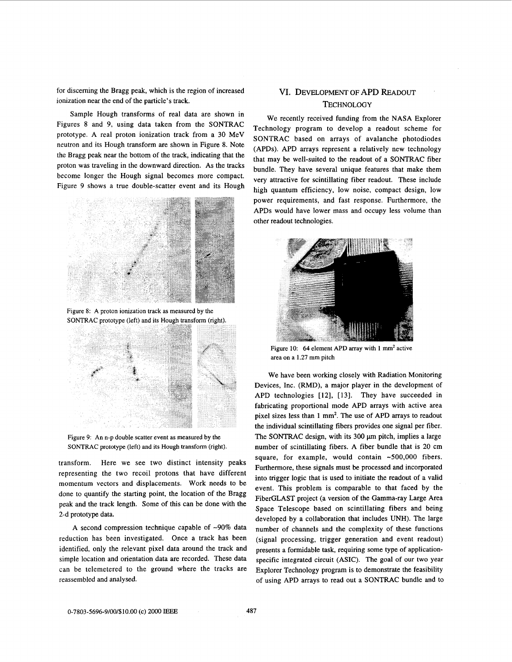for discerning the Bragg peak, which is the region of increased VI. DEVELOPMENT OF APD READOUT ionization near the end of the particle's track.<br>
TECHNOLOGY

Sample Hough transforms of real data are shown in Figures 8 and 9, using data taken from the SONTRAC prototype. A real proton ionization track from a **30** MeV neutron and its Hough transform are shown in Figure 8. Note the Bragg peak near the bottom of the track, indicating that the proton was traveling in the downward direction. As the tracks become longer the Hough signal becomes more compact. Figure 9 shows a true double-scatter event and its Hough



**Figure 8: A proton ionization track as measured by the**  SONTRAC prototype (left) and its Hough transform (right).



**Figure** 9: **An n-p double scatter event as measured by the SONTRAC prototype (left) and its Hough transform (right).** 

transform. Here we see two distinct intensity peaks representing the two recoil protons that have different momentum vectors and displacements. Work needs to be done to quantify the starting point, the location of the Bragg peak and the track length. Some of this can be done with the 2-d prototype data.

A second compression technique capable of  $\sim 90\%$  data reduction has been investigated. Once a track has been identified, only the relevant pixel data around the track and simple location and orientation data are recorded. These data can be telemetered to the ground where the tracks are reassembled and analysed.

We recently received funding from the NASA Explorer Technology program to develop a readout scheme for SONTRAC based on arrays of avalanche photodiodes (APDs). APD arrays represent a relatively new technology that may be well-suited to the readout of a SONTRAC fiber bundle. They have several unique features that make them very attractive for scintillating fiber readout. These include high quantum efficiency, low noise, compact design, low power requirements, and fast response. Furthermore, the APDs would have lower mass and occupy less volume than other readout technologies.



Figure 10: 64 element APD array with 1 mm<sup>2</sup> active **area on a 1.27 mm pitch** 

We have been working closely with Radiation Monitoring Devices, Inc. (RMD), a major player in the development of APD technologies **[12], [13].** They have succeeded in fabricating proportional mode APD arrays with active area pixel sizes less than **1** mm'. The use of APD arrays to readout the individual scintillating fibers provides one signal per fiber. The SONTRAC design, with its 300  $\mu$ m pitch, implies a large number of scintillating fibers. A fiber bundle that is **20** cm square, for example, would contain ~500,000 fibers. Furthermore, these signals must be processed and incorporated into trigger logic that is used to initiate the readout of a valid event. This problem is comparable to that faced by the FiberGLAST project (a version of the Gamma-ray Large Area Space Telescope based on scintillating fibers and being developed by a collaboration that includes UNH). The large number of channels and the complexity of these functions (signal processing, trigger generation and event readout) presents a formidable task, requiring some type of applicationspecific integrated circuit (ASIC). The goal **of** our two **year**  Explorer Technology program is to demonstrate the feasibility of using APD arrays to read out a SONTRAC bundle and to